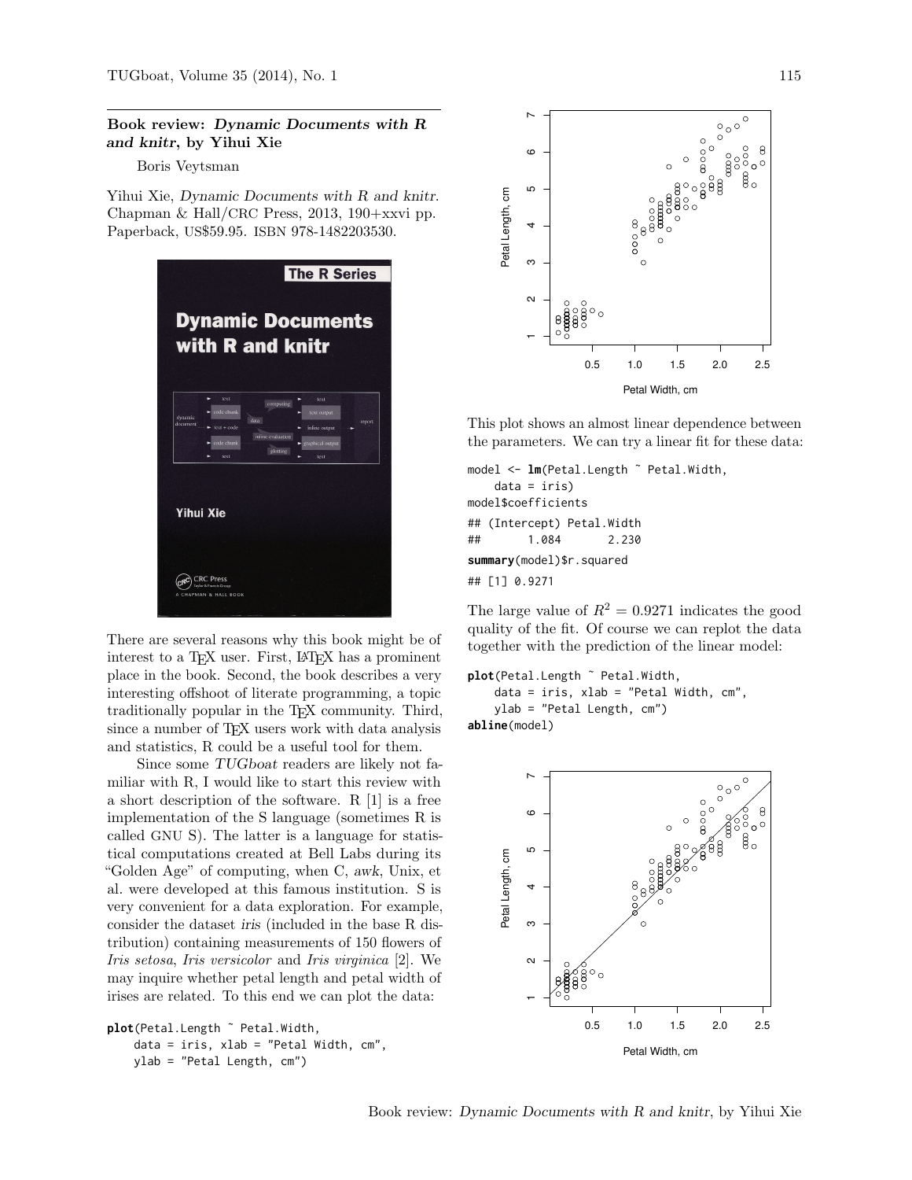## Book review: Dynamic Documents with R and knitr, by Yihui Xie

Boris Veytsman

Yihui Xie, Dynamic Documents with R and knitr. Chapman & Hall/CRC Press, 2013, 190+xxvi pp. Paperback, US\$59.95. ISBN 978-1482203530.



There are several reasons why this book might be of interest to a TEX user. First, L<sup>A</sup>TEX has a prominent place in the book. Second, the book describes a very interesting offshoot of literate programming, a topic traditionally popular in the TEX community. Third, since a number of TEX users work with data analysis and statistics, R could be a useful tool for them.

Since some TUGboat readers are likely not familiar with R, I would like to start this review with a short description of the software. R [\[1\]](#page-4-0) is a free implementation of the S language (sometimes R is called GNU S). The latter is a language for statistical computations created at Bell Labs during its "Golden Age" of computing, when C, awk, Unix, et al. were developed at this famous institution. S is very convenient for a data exploration. For example, consider the dataset iris (included in the base R distribution) containing measurements of 150 flowers of *Iris setosa*, *Iris versicolor* and *Iris virginica* [\[2\]](#page-4-1). We may inquire whether petal length and petal width of irises are related. To this end we can plot the data:

```
plot(Petal.Length ˜ Petal.Width,
    data = iris, xlab = "Petal Width, cm",
    ylab = "Petal Length, cm")
```


This plot shows an almost linear dependence between the parameters. We can try a linear fit for these data:

```
model <- lm(Petal.Length ~ Petal.Width,
   data = iris)
model$coefficients
## (Intercept) Petal.Width
## 1.084 2.230
summary(model)$r.squared
## [1] 0.9271
```
The large value of  $R^2 = 0.9271$  indicates the good quality of the fit. Of course we can replot the data together with the prediction of the linear model:

```
plot(Petal.Length ~ Petal.Width,
   data = iris, xlab = "Petal Width, cm",
   ylab = "Petal Length, cm")
abline(model)
```
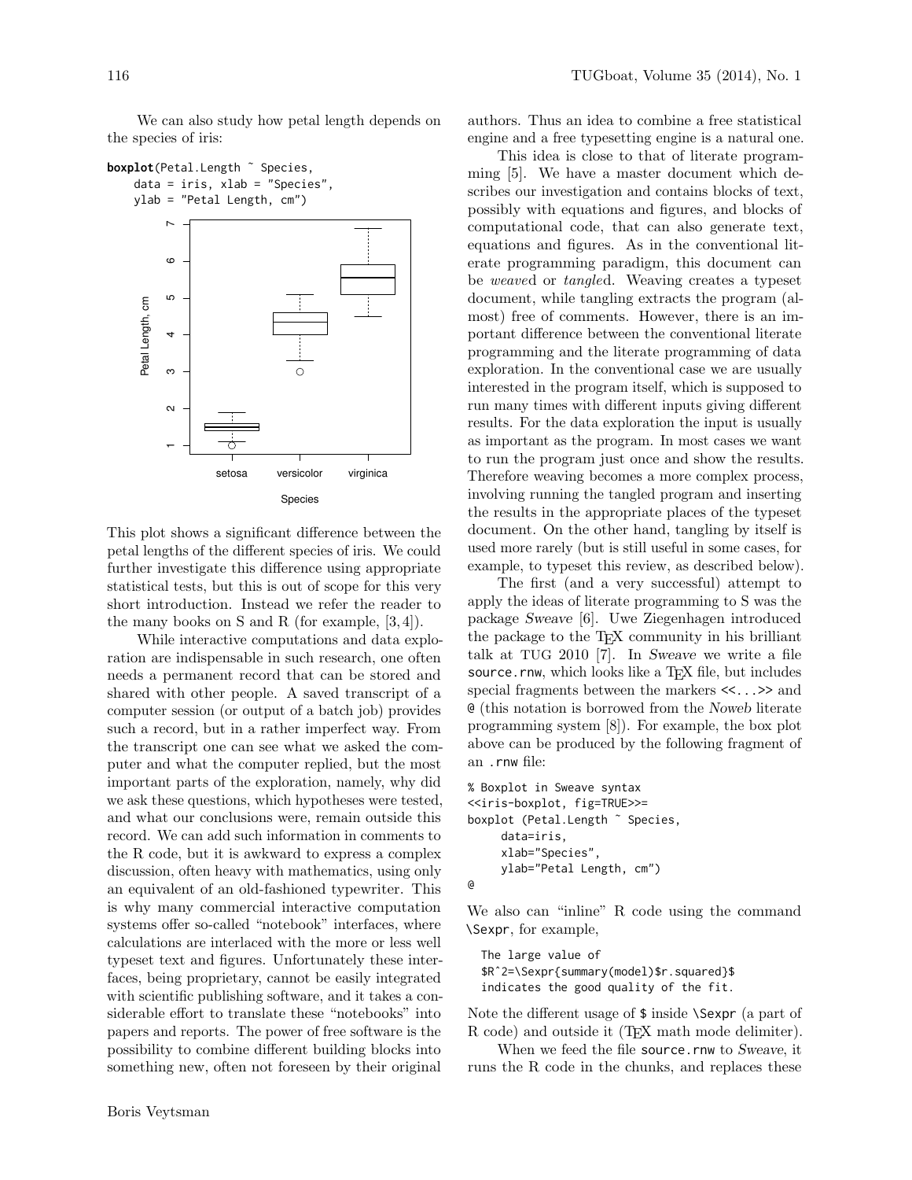We can also study how petal length depends on the species of iris:



This plot shows a significant difference between the petal lengths of the different species of iris. We could further investigate this difference using appropriate statistical tests, but this is out of scope for this very short introduction. Instead we refer the reader to the many books on S and R (for example, [\[3,](#page-4-2) [4\]](#page-4-3)).

While interactive computations and data exploration are indispensable in such research, one often needs a permanent record that can be stored and shared with other people. A saved transcript of a computer session (or output of a batch job) provides such a record, but in a rather imperfect way. From the transcript one can see what we asked the computer and what the computer replied, but the most important parts of the exploration, namely, why did we ask these questions, which hypotheses were tested, and what our conclusions were, remain outside this record. We can add such information in comments to the R code, but it is awkward to express a complex discussion, often heavy with mathematics, using only an equivalent of an old-fashioned typewriter. This is why many commercial interactive computation systems offer so-called "notebook" interfaces, where calculations are interlaced with the more or less well typeset text and figures. Unfortunately these interfaces, being proprietary, cannot be easily integrated with scientific publishing software, and it takes a considerable effort to translate these "notebooks" into papers and reports. The power of free software is the possibility to combine different building blocks into something new, often not foreseen by their original authors. Thus an idea to combine a free statistical engine and a free typesetting engine is a natural one.

This idea is close to that of literate programming [\[5\]](#page-4-4). We have a master document which describes our investigation and contains blocks of text, possibly with equations and figures, and blocks of computational code, that can also generate text, equations and figures. As in the conventional literate programming paradigm, this document can be *weave*d or *tangle*d. Weaving creates a typeset document, while tangling extracts the program (almost) free of comments. However, there is an important difference between the conventional literate programming and the literate programming of data exploration. In the conventional case we are usually interested in the program itself, which is supposed to run many times with different inputs giving different results. For the data exploration the input is usually as important as the program. In most cases we want to run the program just once and show the results. Therefore weaving becomes a more complex process, involving running the tangled program and inserting the results in the appropriate places of the typeset document. On the other hand, tangling by itself is used more rarely (but is still useful in some cases, for example, to typeset this review, as described below).

The first (and a very successful) attempt to apply the ideas of literate programming to S was the package Sweave [\[6\]](#page-4-5). Uwe Ziegenhagen introduced the package to the T<sub>E</sub>X community in his brilliant talk at TUG 2010 [\[7\]](#page-4-6). In Sweave we write a file source.rnw, which looks like a TFX file, but includes special fragments between the markers <<...>> and @ (this notation is borrowed from the Noweb literate programming system [\[8\]](#page-4-7)). For example, the box plot above can be produced by the following fragment of an .rnw file:

```
% Boxplot in Sweave syntax
<<iris-boxplot, fig=TRUE>>=
boxplot (Petal.Length ˜ Species,
     data=iris,
     xlab="Species",
     ylab="Petal Length, cm")
@
```
We also can "inline" R code using the command \Sexpr, for example,

The large value of \$Rˆ2=\Sexpr{summary(model)\$r.squared}\$ indicates the good quality of the fit.

Note the different usage of \$ inside \Sexpr (a part of R code) and outside it (TEX math mode delimiter).

When we feed the file source.rnw to Sweave, it runs the R code in the chunks, and replaces these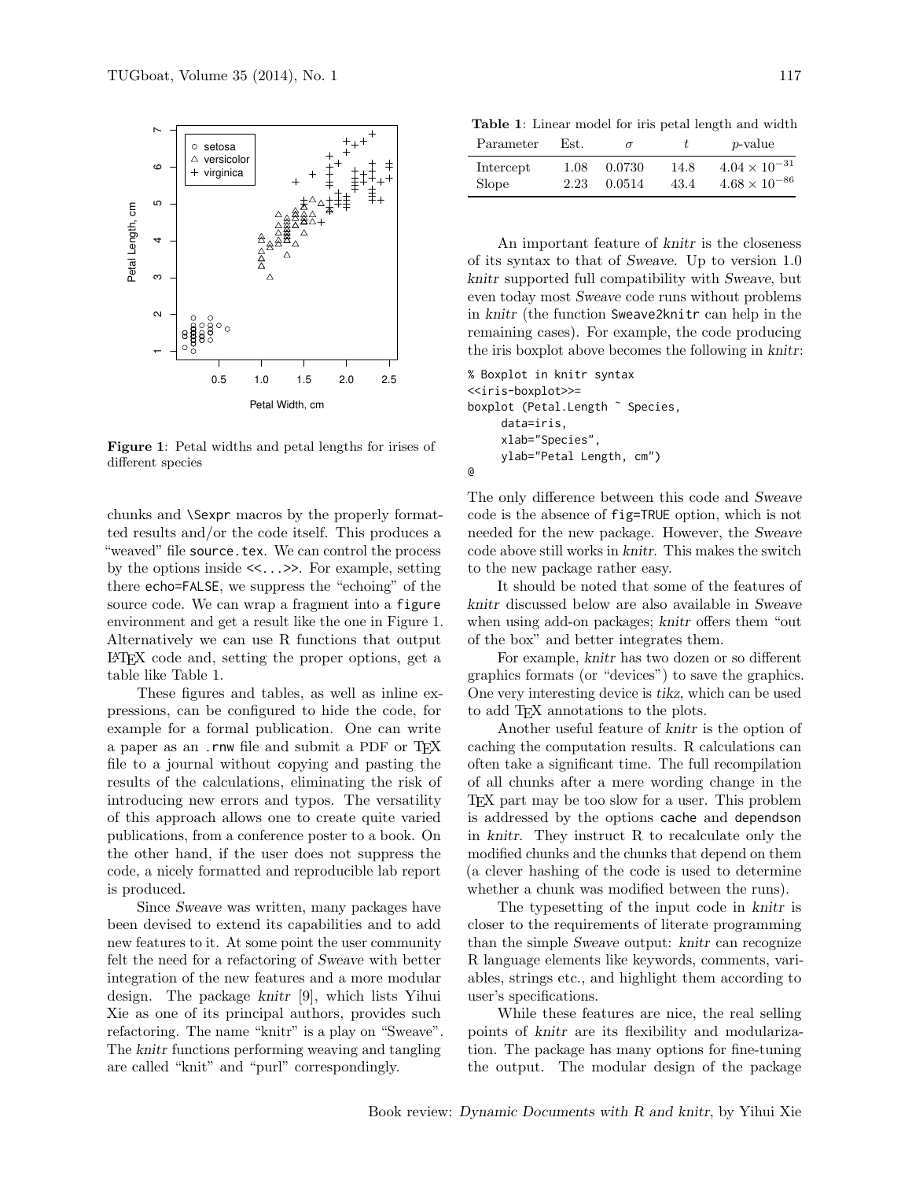

<span id="page-2-0"></span>Figure 1: Petal widths and petal lengths for irises of different species

chunks and \Sexpr macros by the properly formatted results and/or the code itself. This produces a "weaved" file source.tex. We can control the process by the options inside <<...>>. For example, setting there echo=FALSE, we suppress the "echoing" of the source code. We can wrap a fragment into a figure environment and get a result like the one in Figure [1.](#page-2-0) Alternatively we can use R functions that output L<sup>A</sup>TEX code and, setting the proper options, get a table like Table [1.](#page-2-1)

These figures and tables, as well as inline expressions, can be configured to hide the code, for example for a formal publication. One can write a paper as an .rnw file and submit a PDF or T<sub>F</sub>X file to a journal without copying and pasting the results of the calculations, eliminating the risk of introducing new errors and typos. The versatility of this approach allows one to create quite varied publications, from a conference poster to a book. On the other hand, if the user does not suppress the code, a nicely formatted and reproducible lab report is produced.

Since Sweave was written, many packages have been devised to extend its capabilities and to add new features to it. At some point the user community felt the need for a refactoring of Sweave with better integration of the new features and a more modular design. The package knitr [\[9\]](#page-4-8), which lists Yihui Xie as one of its principal authors, provides such refactoring. The name "knitr" is a play on "Sweave". The knitr functions performing weaving and tangling are called "knit" and "purl" correspondingly.

<span id="page-2-1"></span>Table 1: Linear model for iris petal length and width

| Parameter    | Est. | $\sigma$ |      | <i>p</i> -value        |
|--------------|------|----------|------|------------------------|
| Intercept    | 1.08 | 0.0730   | 14.8 | $4.04 \times 10^{-31}$ |
| <b>Slope</b> | 2.23 | 0.0514   | 43.4 | $4.68 \times 10^{-86}$ |

An important feature of knitr is the closeness of its syntax to that of Sweave. Up to version 1.0 knitr supported full compatibility with Sweave, but even today most Sweave code runs without problems in knitr (the function Sweave2knitr can help in the remaining cases). For example, the code producing the iris boxplot above becomes the following in knitr:

```
% Boxplot in knitr syntax
<<iris-boxplot>>=
boxplot (Petal.Length ˜ Species,
     data=iris,
     xlab="Species",
     ylab="Petal Length, cm")
@
```
The only difference between this code and Sweave code is the absence of fig=TRUE option, which is not needed for the new package. However, the Sweave code above still works in knitr. This makes the switch to the new package rather easy.

It should be noted that some of the features of knitr discussed below are also available in Sweave when using add-on packages; knitr offers them "out of the box" and better integrates them.

For example, knitr has two dozen or so different graphics formats (or "devices") to save the graphics. One very interesting device is tikz, which can be used to add TEX annotations to the plots.

Another useful feature of knitr is the option of caching the computation results. R calculations can often take a significant time. The full recompilation of all chunks after a mere wording change in the TEX part may be too slow for a user. This problem is addressed by the options cache and dependson in knitr. They instruct R to recalculate only the modified chunks and the chunks that depend on them (a clever hashing of the code is used to determine whether a chunk was modified between the runs).

The typesetting of the input code in knitr is closer to the requirements of literate programming than the simple Sweave output: knitr can recognize R language elements like keywords, comments, variables, strings etc., and highlight them according to user's specifications.

While these features are nice, the real selling points of knitr are its flexibility and modularization. The package has many options for fine-tuning the output. The modular design of the package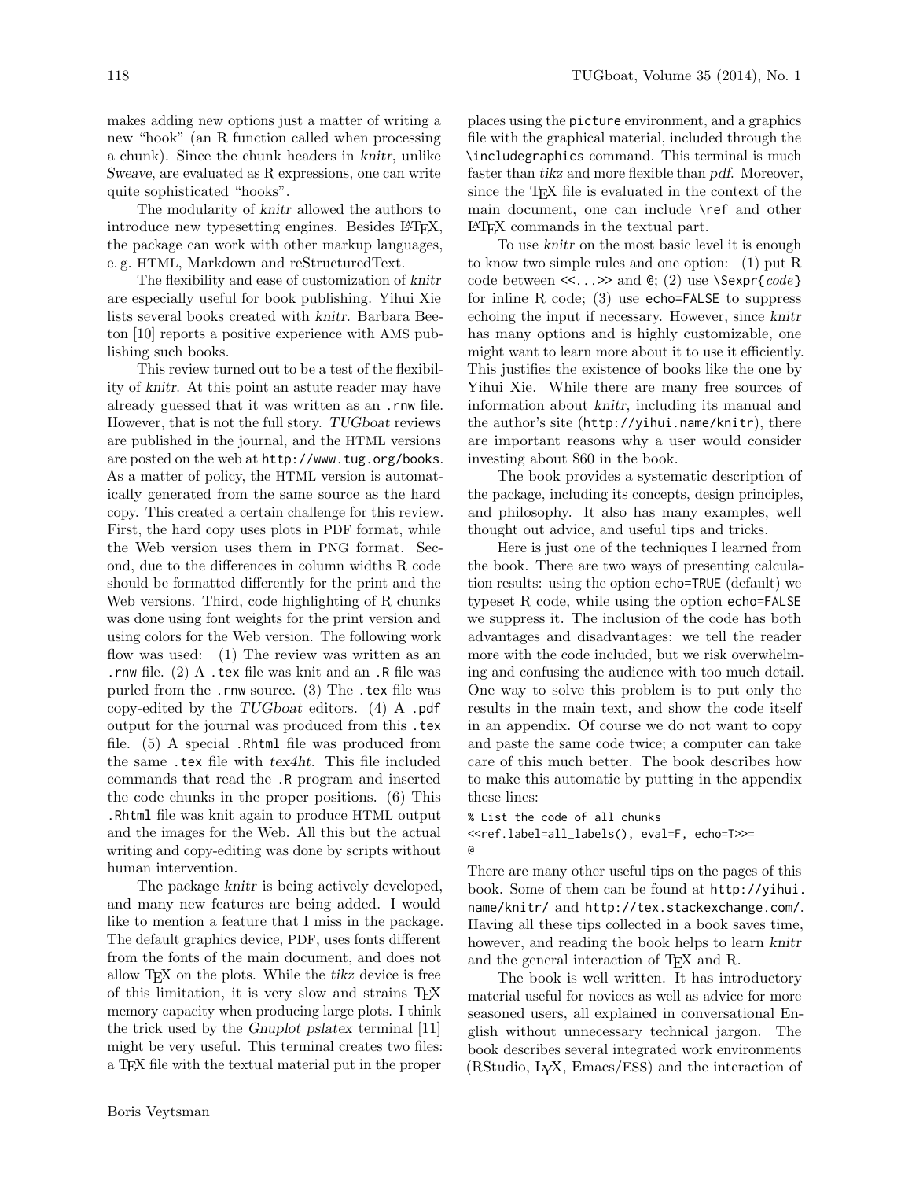makes adding new options just a matter of writing a new "hook" (an R function called when processing a chunk). Since the chunk headers in knitr, unlike Sweave, are evaluated as R expressions, one can write quite sophisticated "hooks".

The modularity of knitr allowed the authors to introduce new typesetting engines. Besides LAT<sub>EX</sub>, the package can work with other markup languages, e. g. HTML, Markdown and reStructuredText.

The flexibility and ease of customization of knitr are especially useful for book publishing. Yihui Xie lists several books created with knitr. Barbara Beeton [\[10\]](#page-4-9) reports a positive experience with AMS publishing such books.

This review turned out to be a test of the flexibility of knitr. At this point an astute reader may have already guessed that it was written as an .rnw file. However, that is not the full story. TUGboat reviews are published in the journal, and the HTML versions are posted on the web at <http://www.tug.org/books>. As a matter of policy, the HTML version is automatically generated from the same source as the hard copy. This created a certain challenge for this review. First, the hard copy uses plots in PDF format, while the Web version uses them in PNG format. Second, due to the differences in column widths R code should be formatted differently for the print and the Web versions. Third, code highlighting of R chunks was done using font weights for the print version and using colors for the Web version. The following work flow was used: (1) The review was written as an .rnw file. (2) A .tex file was knit and an .R file was purled from the .rnw source. (3) The .tex file was copy-edited by the TUGboat editors. (4) A .pdf output for the journal was produced from this .tex file. (5) A special .Rhtml file was produced from the same .tex file with tex4ht. This file included commands that read the .R program and inserted the code chunks in the proper positions. (6) This .Rhtml file was knit again to produce HTML output and the images for the Web. All this but the actual writing and copy-editing was done by scripts without human intervention.

The package knitr is being actively developed, and many new features are being added. I would like to mention a feature that I miss in the package. The default graphics device, PDF, uses fonts different from the fonts of the main document, and does not allow T<sub>E</sub>X on the plots. While the tikz device is free of this limitation, it is very slow and strains TEX memory capacity when producing large plots. I think the trick used by the Gnuplot pslatex terminal [\[11\]](#page-4-10) might be very useful. This terminal creates two files: a TEX file with the textual material put in the proper

places using the picture environment, and a graphics file with the graphical material, included through the \includegraphics command. This terminal is much faster than tikz and more flexible than pdf. Moreover, since the T<sub>E</sub>X file is evaluated in the context of the main document, one can include \ref and other L<sup>A</sup>TEX commands in the textual part.

To use knitr on the most basic level it is enough to know two simple rules and one option: (1) put R code between <<...>> and @; (2) use \Sexpr{*code*} for inline R code; (3) use echo=FALSE to suppress echoing the input if necessary. However, since knitr has many options and is highly customizable, one might want to learn more about it to use it efficiently. This justifies the existence of books like the one by Yihui Xie. While there are many free sources of information about knitr, including its manual and the author's site (<http://yihui.name/knitr>), there are important reasons why a user would consider investing about \$60 in the book.

The book provides a systematic description of the package, including its concepts, design principles, and philosophy. It also has many examples, well thought out advice, and useful tips and tricks.

Here is just one of the techniques I learned from the book. There are two ways of presenting calculation results: using the option echo=TRUE (default) we typeset R code, while using the option echo=FALSE we suppress it. The inclusion of the code has both advantages and disadvantages: we tell the reader more with the code included, but we risk overwhelming and confusing the audience with too much detail. One way to solve this problem is to put only the results in the main text, and show the code itself in an appendix. Of course we do not want to copy and paste the same code twice; a computer can take care of this much better. The book describes how to make this automatic by putting in the appendix these lines:

% List the code of all chunks <<ref.label=all\_labels(), eval=F, echo=T>>= @

There are many other useful tips on the pages of this book. Some of them can be found at [http://yihui.](http://yihui.name/knitr/) [name/knitr/](http://yihui.name/knitr/) and <http://tex.stackexchange.com/>. Having all these tips collected in a book saves time, however, and reading the book helps to learn knitr and the general interaction of TEX and R.

The book is well written. It has introductory material useful for novices as well as advice for more seasoned users, all explained in conversational English without unnecessary technical jargon. The book describes several integrated work environments (RStudio, LYX, Emacs/ESS) and the interaction of